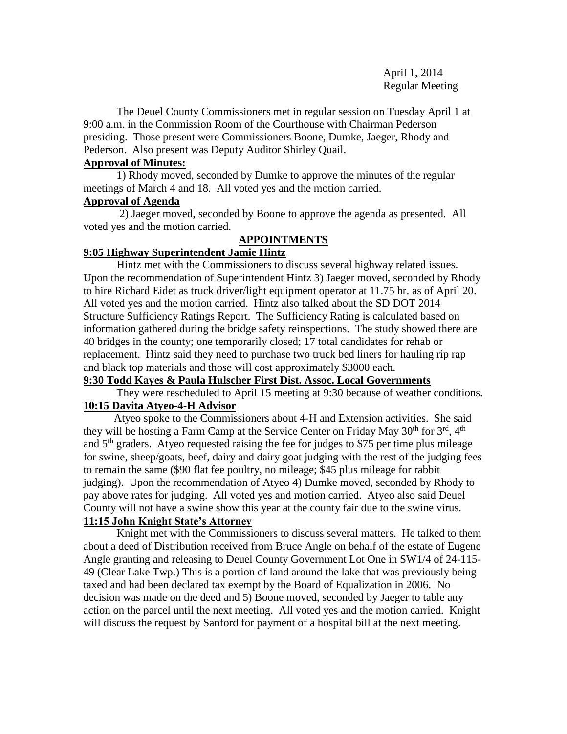April 1, 2014 Regular Meeting

The Deuel County Commissioners met in regular session on Tuesday April 1 at 9:00 a.m. in the Commission Room of the Courthouse with Chairman Pederson presiding. Those present were Commissioners Boone, Dumke, Jaeger, Rhody and Pederson. Also present was Deputy Auditor Shirley Quail.

# **Approval of Minutes:**

1) Rhody moved, seconded by Dumke to approve the minutes of the regular meetings of March 4 and 18. All voted yes and the motion carried.

## **Approval of Agenda**

2) Jaeger moved, seconded by Boone to approve the agenda as presented. All voted yes and the motion carried.

# **APPOINTMENTS**

# **9:05 Highway Superintendent Jamie Hintz**

Hintz met with the Commissioners to discuss several highway related issues. Upon the recommendation of Superintendent Hintz 3) Jaeger moved, seconded by Rhody to hire Richard Eidet as truck driver/light equipment operator at 11.75 hr. as of April 20. All voted yes and the motion carried. Hintz also talked about the SD DOT 2014 Structure Sufficiency Ratings Report. The Sufficiency Rating is calculated based on information gathered during the bridge safety reinspections. The study showed there are 40 bridges in the county; one temporarily closed; 17 total candidates for rehab or replacement. Hintz said they need to purchase two truck bed liners for hauling rip rap and black top materials and those will cost approximately \$3000 each.

# **9:30 Todd Kayes & Paula Hulscher First Dist. Assoc. Local Governments**

They were rescheduled to April 15 meeting at 9:30 because of weather conditions. **10:15 Davita Atyeo-4-H Advisor**

 Atyeo spoke to the Commissioners about 4-H and Extension activities. She said they will be hosting a Farm Camp at the Service Center on Friday May 30<sup>th</sup> for 3<sup>rd</sup>, 4<sup>th</sup> and 5<sup>th</sup> graders. Atyeo requested raising the fee for judges to \$75 per time plus mileage for swine, sheep/goats, beef, dairy and dairy goat judging with the rest of the judging fees to remain the same (\$90 flat fee poultry, no mileage; \$45 plus mileage for rabbit judging). Upon the recommendation of Atyeo 4) Dumke moved, seconded by Rhody to pay above rates for judging. All voted yes and motion carried. Atyeo also said Deuel County will not have a swine show this year at the county fair due to the swine virus.

# **11:15 John Knight State's Attorney**

Knight met with the Commissioners to discuss several matters. He talked to them about a deed of Distribution received from Bruce Angle on behalf of the estate of Eugene Angle granting and releasing to Deuel County Government Lot One in SW1/4 of 24-115- 49 (Clear Lake Twp.) This is a portion of land around the lake that was previously being taxed and had been declared tax exempt by the Board of Equalization in 2006. No decision was made on the deed and 5) Boone moved, seconded by Jaeger to table any action on the parcel until the next meeting. All voted yes and the motion carried. Knight will discuss the request by Sanford for payment of a hospital bill at the next meeting.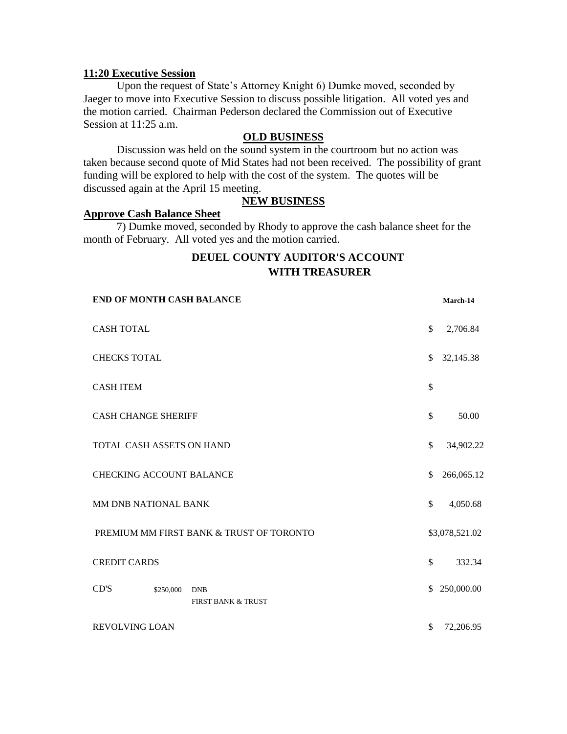### **11:20 Executive Session**

Upon the request of State's Attorney Knight 6) Dumke moved, seconded by Jaeger to move into Executive Session to discuss possible litigation. All voted yes and the motion carried. Chairman Pederson declared the Commission out of Executive Session at 11:25 a.m.

### **OLD BUSINESS**

Discussion was held on the sound system in the courtroom but no action was taken because second quote of Mid States had not been received. The possibility of grant funding will be explored to help with the cost of the system. The quotes will be discussed again at the April 15 meeting.

### **NEW BUSINESS**

# **Approve Cash Balance Sheet**

7) Dumke moved, seconded by Rhody to approve the cash balance sheet for the month of February. All voted yes and the motion carried.

# **DEUEL COUNTY AUDITOR'S ACCOUNT WITH TREASURER**

| END OF MONTH CASH BALANCE                                        |               | March-14       |
|------------------------------------------------------------------|---------------|----------------|
| <b>CASH TOTAL</b>                                                | \$            | 2,706.84       |
| <b>CHECKS TOTAL</b>                                              | \$            | 32,145.38      |
| <b>CASH ITEM</b>                                                 | \$            |                |
| <b>CASH CHANGE SHERIFF</b>                                       | $\mathbb{S}$  | 50.00          |
| TOTAL CASH ASSETS ON HAND                                        | \$            | 34,902.22      |
| <b>CHECKING ACCOUNT BALANCE</b>                                  | \$            | 266,065.12     |
| MM DNB NATIONAL BANK                                             | \$            | 4,050.68       |
| PREMIUM MM FIRST BANK & TRUST OF TORONTO                         |               | \$3,078,521.02 |
| <b>CREDIT CARDS</b>                                              | $\mathcal{S}$ | 332.34         |
| CD'S<br>\$250,000<br><b>DNB</b><br><b>FIRST BANK &amp; TRUST</b> | \$.           | 250,000.00     |
| REVOLVING LOAN                                                   | \$            | 72,206.95      |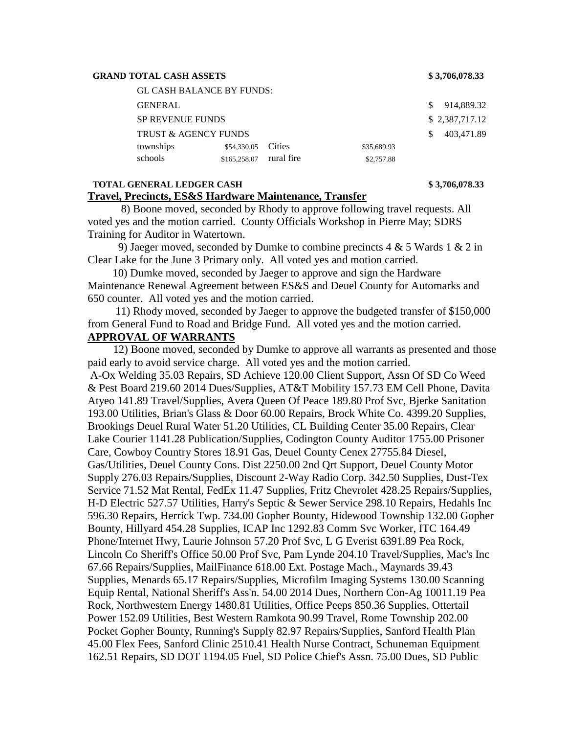#### **GRAND TOTAL CASH ASSETS \$ 3,706,078.33**

| <b>GL CASH BALANCE BY FUNDS:</b> |                    |            |             |                |
|----------------------------------|--------------------|------------|-------------|----------------|
| <b>GENERAL</b>                   |                    |            |             | 914,889.32     |
| <b>SP REVENUE FUNDS</b>          |                    |            |             | \$2,387,717.12 |
| <b>TRUST &amp; AGENCY FUNDS</b>  |                    |            |             | 403,471.89     |
| townships                        | \$54,330.05 Cities |            | \$35,689.93 |                |
| schools                          | \$165,258.07       | rural fire | \$2,757.88  |                |
|                                  |                    |            |             |                |

#### **TOTAL GENERAL LEDGER CASH \$ 3,706,078.33 Travel, Precincts, ES&S Hardware Maintenance, Transfer**

 8) Boone moved, seconded by Rhody to approve following travel requests. All voted yes and the motion carried. County Officials Workshop in Pierre May; SDRS Training for Auditor in Watertown.

9) Jaeger moved, seconded by Dumke to combine precincts 4  $\&$  5 Wards 1  $\&$  2 in Clear Lake for the June 3 Primary only. All voted yes and motion carried.

 10) Dumke moved, seconded by Jaeger to approve and sign the Hardware Maintenance Renewal Agreement between ES&S and Deuel County for Automarks and 650 counter. All voted yes and the motion carried.

 11) Rhody moved, seconded by Jaeger to approve the budgeted transfer of \$150,000 from General Fund to Road and Bridge Fund. All voted yes and the motion carried.

# **APPROVAL OF WARRANTS**

 12) Boone moved, seconded by Dumke to approve all warrants as presented and those paid early to avoid service charge. All voted yes and the motion carried.

A-Ox Welding 35.03 Repairs, SD Achieve 120.00 Client Support, Assn Of SD Co Weed & Pest Board 219.60 2014 Dues/Supplies, AT&T Mobility 157.73 EM Cell Phone, Davita Atyeo 141.89 Travel/Supplies, Avera Queen Of Peace 189.80 Prof Svc, Bjerke Sanitation 193.00 Utilities, Brian's Glass & Door 60.00 Repairs, Brock White Co. 4399.20 Supplies, Brookings Deuel Rural Water 51.20 Utilities, CL Building Center 35.00 Repairs, Clear Lake Courier 1141.28 Publication/Supplies, Codington County Auditor 1755.00 Prisoner Care, Cowboy Country Stores 18.91 Gas, Deuel County Cenex 27755.84 Diesel, Gas/Utilities, Deuel County Cons. Dist 2250.00 2nd Qrt Support, Deuel County Motor Supply 276.03 Repairs/Supplies, Discount 2-Way Radio Corp. 342.50 Supplies, Dust-Tex Service 71.52 Mat Rental, FedEx 11.47 Supplies, Fritz Chevrolet 428.25 Repairs/Supplies, H-D Electric 527.57 Utilities, Harry's Septic & Sewer Service 298.10 Repairs, Hedahls Inc 596.30 Repairs, Herrick Twp. 734.00 Gopher Bounty, Hidewood Township 132.00 Gopher Bounty, Hillyard 454.28 Supplies, ICAP Inc 1292.83 Comm Svc Worker, ITC 164.49 Phone/Internet Hwy, Laurie Johnson 57.20 Prof Svc, L G Everist 6391.89 Pea Rock, Lincoln Co Sheriff's Office 50.00 Prof Svc, Pam Lynde 204.10 Travel/Supplies, Mac's Inc 67.66 Repairs/Supplies, MailFinance 618.00 Ext. Postage Mach., Maynards 39.43 Supplies, Menards 65.17 Repairs/Supplies, Microfilm Imaging Systems 130.00 Scanning Equip Rental, National Sheriff's Ass'n. 54.00 2014 Dues, Northern Con-Ag 10011.19 Pea Rock, Northwestern Energy 1480.81 Utilities, Office Peeps 850.36 Supplies, Ottertail Power 152.09 Utilities, Best Western Ramkota 90.99 Travel, Rome Township 202.00 Pocket Gopher Bounty, Running's Supply 82.97 Repairs/Supplies, Sanford Health Plan 45.00 Flex Fees, Sanford Clinic 2510.41 Health Nurse Contract, Schuneman Equipment 162.51 Repairs, SD DOT 1194.05 Fuel, SD Police Chief's Assn. 75.00 Dues, SD Public